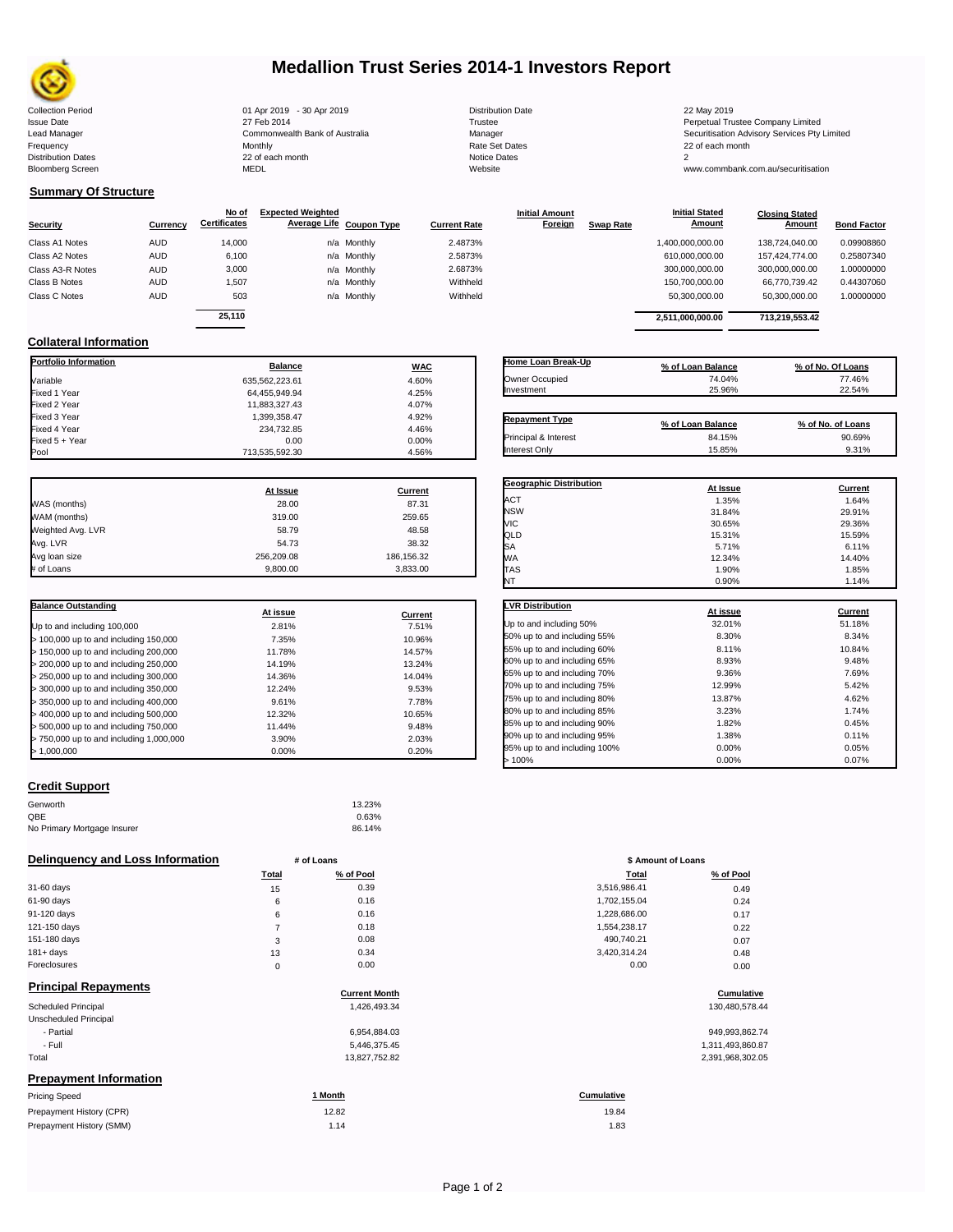

## **Medallion Trust Series 2014-1 Investors Report**

| <b>Collection Period</b>  | 01 Apr 2019 - 30 Apr 2019      | <b>Distribution Date</b> | 22 May 2019                                  |
|---------------------------|--------------------------------|--------------------------|----------------------------------------------|
| <b>Issue Date</b>         | 27 Feb 2014                    | Trustee                  | Perpetual Trustee Company Limited            |
| Lead Manager              | Commonwealth Bank of Australia | Manager                  | Securitisation Advisory Services Pty Limited |
| Frequency                 | Monthly                        | Rate Set Dates           | 22 of each month                             |
| <b>Distribution Dates</b> | 22 of each month               | Notice Dates             |                                              |
| <b>Bloomberg Screen</b>   | MEDL                           | Website                  | www.commbank.com.au/securitisation           |
|                           |                                |                          |                                              |

| <b>Distribution Date</b> |
|--------------------------|
| Trustee                  |
| Manager                  |
| <b>Rate Set Dates</b>    |
| Notice Dates             |
| Website                  |
|                          |

**Initial Amount** 

**Closing Stated Amount**

### **Summary Of Structure**

**Collateral Information**

|                  |            | No of               | <b>Expected Weighted</b> |             |                     | <b>Initial Amount</b> |                  | <b>Initial Stated</b> | <b>Closing Stated</b> |                    |
|------------------|------------|---------------------|--------------------------|-------------|---------------------|-----------------------|------------------|-----------------------|-----------------------|--------------------|
| <b>Security</b>  | Currency   | <b>Certificates</b> | Average Life Coupon Type |             | <b>Current Rate</b> | Foreign               | <b>Swap Rate</b> | <b>Amount</b>         | Amount                | <b>Bond Factor</b> |
| Class A1 Notes   | AUD        | 14,000              |                          | n/a Monthly | 2.4873%             |                       |                  | 1,400,000,000.00      | 138.724.040.00        | 0.09908860         |
| Class A2 Notes   | <b>AUD</b> | 6,100               |                          | n/a Monthly | 2.5873%             |                       |                  | 610,000,000.00        | 157.424.774.00        | 0.25807340         |
| Class A3-R Notes | <b>AUD</b> | 3,000               |                          | n/a Monthly | 2.6873%             |                       |                  | 300,000,000.00        | 300,000,000.00        | 1.00000000         |
| Class B Notes    | AUD        | 1,507               |                          | n/a Monthly | Withheld            |                       |                  | 150,700,000.00        | 66.770.739.42         | 0.44307060         |
| Class C Notes    | <b>AUD</b> | 503                 |                          | n/a Monthly | Withheld            |                       |                  | 50,300,000.00         | 50,300,000.00         | 1.00000000         |
|                  |            | 25.110              |                          |             |                     |                       |                  |                       |                       |                    |
|                  |            |                     |                          |             |                     |                       |                  | 2.511.000.000.00      | 713.219.553.42        |                    |

**Portfolio Information Balance WAC** Variable 635,562,223.61 4.60% Fixed 1 Year 64,455,949.94 4.25% Fixed 2 Year 11,883,327.43 4.07% Fixed 3 Year 1,399,358.47 4.92% Fixed 4 Year 234,732.85 4.46% Fixed 5 + Year 0.00 0.00%

| Home Loan Break-Up    | % of Loan Balance | % of No. Of Loans |
|-----------------------|-------------------|-------------------|
| Owner Occupied        | 74.04%            | 77.46%            |
| Investment            | 25.96%            | 22.54%            |
| <b>Repayment Type</b> | % of Loan Balance | % of No. of Loans |
| Principal & Interest  | 84.15%            | 90.69%            |
| Interest Only         | 15.85%            | 9.31%             |

**Geographic Distribution**<br> **ACT**<br> **ACT**<br> **ACT**<br> **ACT**<br> **ACT** ACT 1.35% 1.64% NSW 31.84% 29.91%

**Initial Stated** 

|                   | At Issue   | Current    |
|-------------------|------------|------------|
| WAS (months)      | 28.00      | 87.31      |
| WAM (months)      | 319.00     | 259.65     |
| Weighted Avg. LVR | 58.79      | 48.58      |
| Avg. LVR          | 54.73      | 38.32      |
| Avg loan size     | 256.209.08 | 186,156.32 |
| # of Loans        | 9.800.00   | 3,833.00   |

713,535,592.30

| <b>Balance Outstanding</b>              | At issue | Current |
|-----------------------------------------|----------|---------|
| Up to and including 100,000             | 2.81%    | 7.51%   |
| $>$ 100,000 up to and including 150,000 | 7.35%    | 10.96%  |
| $>$ 150,000 up to and including 200,000 | 11.78%   | 14.57%  |
| > 200,000 up to and including 250,000   | 14.19%   | 13.24%  |
| > 250,000 up to and including 300,000   | 14.36%   | 14.04%  |
| > 300,000 up to and including 350,000   | 12.24%   | 9.53%   |
| > 350,000 up to and including 400,000   | 9.61%    | 7.78%   |
| $>$ 400,000 up to and including 500,000 | 12.32%   | 10.65%  |
| > 500,000 up to and including 750,000   | 11.44%   | 9.48%   |
| > 750,000 up to and including 1,000,000 | 3.90%    | 2.03%   |
| > 1.000.000                             | 0.00%    | 0.20%   |

#### **Credit Support**

| Genworth                    | 13.23% |
|-----------------------------|--------|
| QBE                         | 0.63%  |
| No Primary Mortgage Insurer | 86.14% |

#### **Delinquency and Loss Information # of Loans**

|                                   | <b>Total</b> | % of Pool | Total        | % of Pool |
|-----------------------------------|--------------|-----------|--------------|-----------|
| 31-60 days                        | 15           | 0.39      | 3,516,986.41 | 0.49      |
| 61-90 days                        | 6            | 0.16      | 1,702,155.04 | 0.24      |
| 91-120 days                       | 6            | 0.16      | 1,228,686.00 | 0.17      |
| 121-150 days                      |              | 0.18      | 1,554,238.17 | 0.22      |
| 151-180 days                      | 3            | 0.08      | 490,740.21   | 0.07      |
| $181 + days$                      | 13           | 0.34      | 3,420,314.24 | 0.48      |
| Foreclosures                      | 0            | 0.00      | 0.00         | 0.00      |
| Believe the all Distances and all |              |           |              |           |

| <b>Principal Repayments</b>   |                      |                  |
|-------------------------------|----------------------|------------------|
|                               | <b>Current Month</b> | Cumulative       |
| Scheduled Principal           | 1.426.493.34         | 130,480,578.44   |
| Unscheduled Principal         |                      |                  |
| - Partial                     | 6.954.884.03         | 949,993,862.74   |
| - Full                        | 5.446.375.45         | 1,311,493,860.87 |
| Total                         | 13,827,752.82        | 2,391,968,302.05 |
| <b>Prepayment Information</b> |                      |                  |
| <b>Pricing Speed</b>          | 1 Month              | Cumulative       |
| Prepayment History (CPR)      | 12.82                | 19.84            |

| <b>Pricing Speed</b>     | Month | Cumulative |
|--------------------------|-------|------------|
| Prepayment History (CPR) | 12.82 | 19.84      |
| Prepayment History (SMM) | 1.14  | .83        |

| VIC                         | 30.65%   | 29.36%  |
|-----------------------------|----------|---------|
| QLD                         | 15.31%   | 15.59%  |
| SA                          | 5.71%    | 6.11%   |
| МA                          | 12.34%   | 14.40%  |
| <b>TAS</b>                  | 1.90%    | 1.85%   |
| NT                          | 0.90%    | 1.14%   |
|                             |          |         |
| <b>LVR Distribution</b>     | At issue | Current |
| Up to and including 50%     | 32.01%   | 51.18%  |
| 50% up to and including 55% | 8.30%    | 8.34%   |
| 55% up to and including 60% | 8.11%    | 10.84%  |
| 60% up to and including 65% | 8.93%    | 9.48%   |
| 65% up to and including 70% | 9.36%    | 7.69%   |
| 70% up to and including 75% | 12.99%   | 5.42%   |
| 75% up to and including 80% | 13.87%   | 4.62%   |
| 80% up to and including 85% | 3.23%    | 1.74%   |

80% up to and including 85% 3.23% 3.23% 1.74% 1.74% 1.74% 1.74% 1.74% 1.74% 1.74% 1.74% 1.74% 1.74% 1.74% 1.75<br>1.82% 1.82% 1.82% 1.82% 1.82% 1.82% 1.82% 1.82% 1.95% 1.95% 1.95% 1.95% 1.95% 1.95% 1.95% 1.95% 1.95% 1.95% 1. 85% up to and including 90% 1.82% 1.82% 1.82% 1.82% 0.45% 0.45% 0.45% 0.45% 0.45% 0.11% 0.5% 0.11% 0.11% 0.11% 90% up to and including 95% 1.38% 1.38% 0.11% 0.05% 0.11% 0.05% 0.11% 0.05% 0.11% 0.05% 0.05% 0.05% 0.05% 0.05<br>المراجع المراجع المراجع المراجع المراجع المراجع المراجع المراجع المراجع المراجع المراجع المراجع المراجع المراج 95% up to and including 100% 0.00% 0.05%  $> 100\%$  0.07% 0.000% 0.07%

|       | <b>0.0070</b> |                    |           |
|-------|---------------|--------------------|-----------|
|       | 86.14%        |                    |           |
|       | # of Loans    | \$ Amount of Loans |           |
| Total | % of Pool     | Total              | % of Pool |
| 15    | 0.39          | 3,516,986.41       | 0.49      |
| 6     | 0.16          | 1,702,155.04       | 0.24      |
| 6     | 0.16          | 1,228,686.00       | 0.17      |
| 7     | 0.18          | 1,554,238.17       | 0.22      |
| 3     | 0.08          | 490,740.21         | 0.07      |
| 13    | 0.34          | 3,420,314.24       | 0.48      |
| 0     | 0.00          | 0.00               | 0.00      |

## **Cumulative Cumulative**

| 949,993,862.74   |
|------------------|
| 1.311.493.860.87 |
| 2.391.968.302.05 |